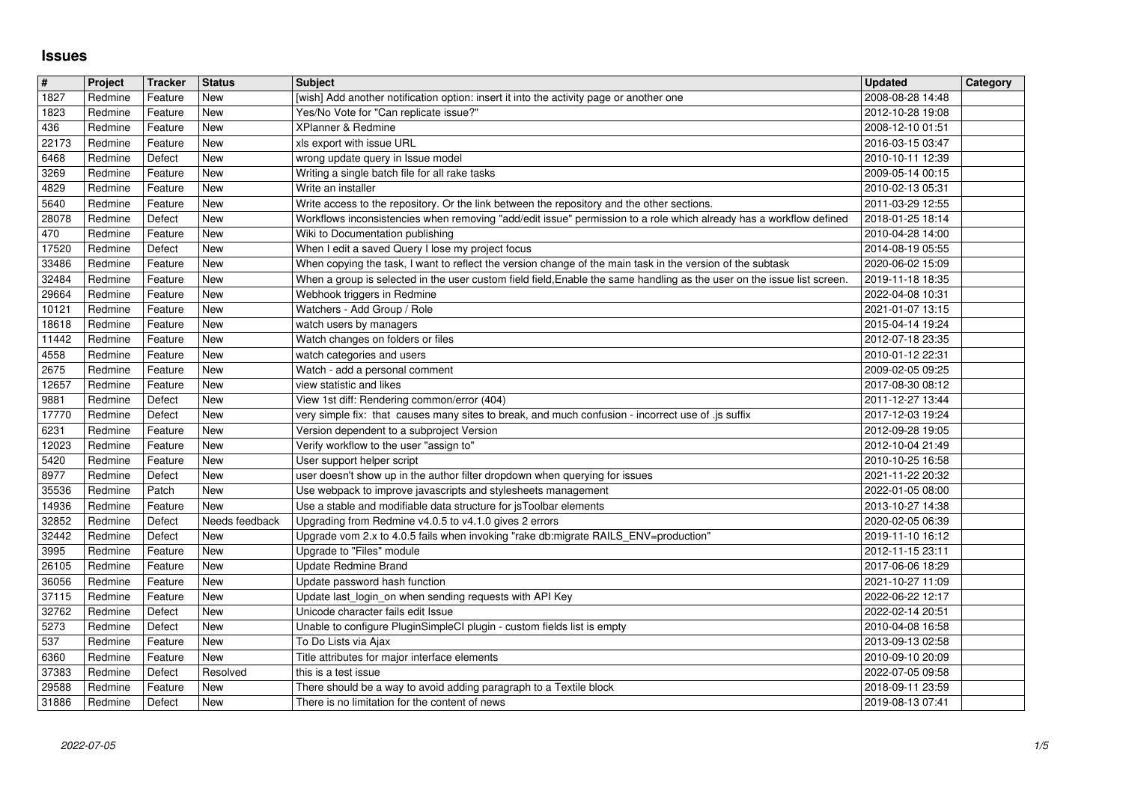## **Issues**

| $\vert$ #      | Project            | Tracker            | <b>Status</b>            | <b>Subject</b>                                                                                                                                                                                                                        | <b>Updated</b>                       | Category |
|----------------|--------------------|--------------------|--------------------------|---------------------------------------------------------------------------------------------------------------------------------------------------------------------------------------------------------------------------------------|--------------------------------------|----------|
| 1827<br>1823   | Redmine<br>Redmine | Feature<br>Feature | New<br>New               | [wish] Add another notification option: insert it into the activity page or another one<br>Yes/No Vote for "Can replicate issue?"                                                                                                     | 2008-08-28 14:48<br>2012-10-28 19:08 |          |
| 436            | Redmine            | Feature            | New                      | XPlanner & Redmine                                                                                                                                                                                                                    | 2008-12-10 01:51                     |          |
| 22173<br>6468  | Redmine<br>Redmine | Feature<br>Defect  | New<br>New               | xls export with issue URL<br>wrong update query in Issue model                                                                                                                                                                        | 2016-03-15 03:47<br>2010-10-11 12:39 |          |
| 3269           | Redmine            | Feature            | New                      | Writing a single batch file for all rake tasks                                                                                                                                                                                        | 2009-05-14 00:15                     |          |
| 4829           | Redmine            | Feature            | <b>New</b>               | Write an installer                                                                                                                                                                                                                    | 2010-02-13 05:31                     |          |
| 5640<br>28078  | Redmine<br>Redmine | Feature<br>Defect  | <b>New</b><br>New        | Write access to the repository. Or the link between the repository and the other sections.<br>Workflows inconsistencies when removing "add/edit issue" permission to a role which already has a workflow defined                      | 2011-03-29 12:55<br>2018-01-25 18:14 |          |
| 470            | Redmine            | Feature            | New                      | Wiki to Documentation publishing                                                                                                                                                                                                      | 2010-04-28 14:00                     |          |
| 17520          | Redmine            | Defect             | New<br><b>New</b>        | When I edit a saved Query I lose my project focus                                                                                                                                                                                     | 2014-08-19 05:55                     |          |
| 33486<br>32484 | Redmine<br>Redmine | Feature<br>Feature | New                      | When copying the task, I want to reflect the version change of the main task in the version of the subtask<br>When a group is selected in the user custom field field, Enable the same handling as the user on the issue list screen. | 2020-06-02 15:09<br>2019-11-18 18:35 |          |
| 29664          | Redmine            | Feature            | New                      | Webhook triggers in Redmine                                                                                                                                                                                                           | 2022-04-08 10:31                     |          |
| 10121<br>18618 | Redmine<br>Redmine | Feature<br>Feature | New<br><b>New</b>        | Watchers - Add Group / Role<br>watch users by managers                                                                                                                                                                                | 2021-01-07 13:15<br>2015-04-14 19:24 |          |
| 11442          | Redmine            | Feature            | New                      | Watch changes on folders or files                                                                                                                                                                                                     | 2012-07-18 23:35                     |          |
| 4558           | Redmine            | Feature            | New                      | watch categories and users                                                                                                                                                                                                            | 2010-01-12 22:31                     |          |
| 2675<br>12657  | Redmine<br>Redmine | Feature<br>Feature | New<br>New               | Watch - add a personal comment<br>view statistic and likes                                                                                                                                                                            | 2009-02-05 09:25<br>2017-08-30 08:12 |          |
| 9881           | Redmine            | Defect             | <b>New</b>               | View 1st diff: Rendering common/error (404)                                                                                                                                                                                           | 2011-12-27 13:44                     |          |
| 17770          | Redmine            | Defect             | <b>New</b>               | very simple fix: that causes many sites to break, and much confusion - incorrect use of .js suffix                                                                                                                                    | 2017-12-03 19:24                     |          |
| 6231<br>12023  | Redmine<br>Redmine | Feature<br>Feature | New<br>New               | Version dependent to a subproject Version<br>Verify workflow to the user "assign to"                                                                                                                                                  | 2012-09-28 19:05<br>2012-10-04 21:49 |          |
| 5420           | Redmine            | Feature            | New                      | User support helper script                                                                                                                                                                                                            | 2010-10-25 16:58                     |          |
| 8977<br>35536  | Redmine<br>Redmine | Defect<br>Patch    | <b>New</b><br>New        | user doesn't show up in the author filter dropdown when querying for issues<br>Use webpack to improve javascripts and stylesheets management                                                                                          | 2021-11-22 20:32                     |          |
| 14936          | Redmine            | Feature            | New                      | Use a stable and modifiable data structure for jsToolbar elements                                                                                                                                                                     | 2022-01-05 08:00<br>2013-10-27 14:38 |          |
| 32852          | Redmine            | Defect             | Needs feedback           | Upgrading from Redmine v4.0.5 to v4.1.0 gives 2 errors                                                                                                                                                                                | 2020-02-05 06:39                     |          |
| 32442<br>3995  | Redmine<br>Redmine | Defect<br>Feature  | <b>New</b><br>New        | Upgrade vom 2.x to 4.0.5 fails when invoking "rake db:migrate RAILS_ENV=production"<br>Upgrade to "Files" module                                                                                                                      | 2019-11-10 16:12<br>2012-11-15 23:11 |          |
| 26105          | Redmine            | Feature            | New                      | Update Redmine Brand                                                                                                                                                                                                                  | 2017-06-06 18:29                     |          |
| 36056          | Redmine            | Feature            | New                      | Update password hash function                                                                                                                                                                                                         | 2021-10-27 11:09                     |          |
| 37115<br>32762 | Redmine<br>Redmine | Feature<br>Defect  | <b>New</b><br><b>New</b> | Update last_login_on when sending requests with API Key<br>Unicode character fails edit Issue                                                                                                                                         | 2022-06-22 12:17<br>2022-02-14 20:51 |          |
| 5273           | Redmine            | Defect             | New                      | Unable to configure PluginSimpleCI plugin - custom fields list is empty                                                                                                                                                               | 2010-04-08 16:58                     |          |
| 537            | Redmine            | Feature            | New                      | To Do Lists via Ajax                                                                                                                                                                                                                  | 2013-09-13 02:58                     |          |
| 6360<br>37383  | Redmine<br>Redmine | Feature<br>Defect  | New<br>Resolved          | Title attributes for major interface elements<br>this is a test issue                                                                                                                                                                 | 2010-09-10 20:09<br>2022-07-05 09:58 |          |
| 29588          | Redmine            | Feature            | New                      | There should be a way to avoid adding paragraph to a Textile block                                                                                                                                                                    | 2018-09-11 23:59                     |          |
|                |                    |                    |                          |                                                                                                                                                                                                                                       |                                      |          |
|                |                    |                    |                          |                                                                                                                                                                                                                                       |                                      |          |
|                |                    |                    |                          |                                                                                                                                                                                                                                       |                                      |          |
|                |                    |                    |                          |                                                                                                                                                                                                                                       |                                      |          |
|                |                    |                    |                          |                                                                                                                                                                                                                                       |                                      |          |
|                |                    |                    |                          |                                                                                                                                                                                                                                       |                                      |          |
|                |                    |                    |                          |                                                                                                                                                                                                                                       |                                      |          |
|                |                    |                    |                          |                                                                                                                                                                                                                                       |                                      |          |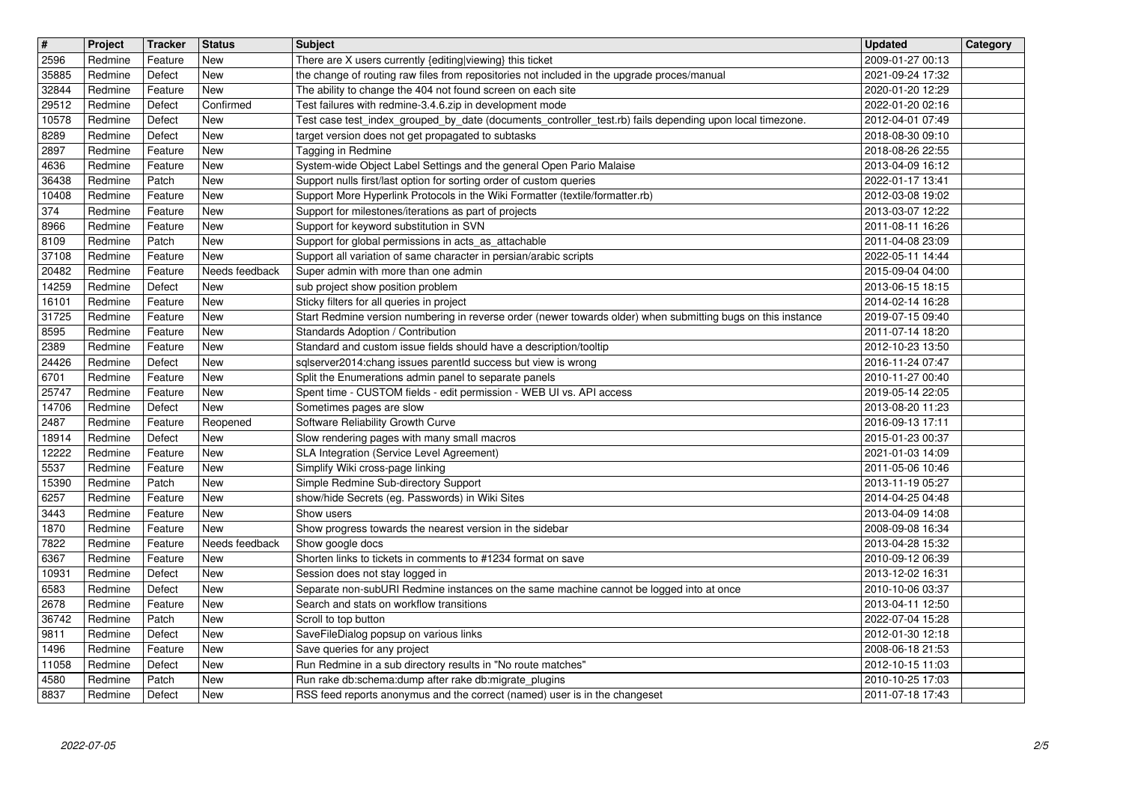| $\overline{\mathbf{H}}$ | Project            | Tracker            | <b>Status</b>                | <b>Subject</b>                                                                                                                                           | <b>Updated</b>                       | Category |
|-------------------------|--------------------|--------------------|------------------------------|----------------------------------------------------------------------------------------------------------------------------------------------------------|--------------------------------------|----------|
| 2596<br>35885           | Redmine<br>Redmine | Feature<br>Defect  | New<br>New                   | There are X users currently {editing viewing} this ticket<br>the change of routing raw files from repositories not included in the upgrade proces/manual | 2009-01-27 00:13<br>2021-09-24 17:32 |          |
| 32844<br>29512          | Redmine<br>Redmine | Feature<br>Defect  | <b>New</b><br>Confirmed      | The ability to change the 404 not found screen on each site<br>Test failures with redmine-3.4.6.zip in development mode                                  | 2020-01-20 12:29<br>2022-01-20 02:16 |          |
| 10578                   | Redmine            | Defect             | New                          | Test case test_index_grouped_by_date (documents_controller_test.rb) fails depending upon local timezone.                                                 | 2012-04-01 07:49                     |          |
| 8289                    | Redmine            | Defect             | <b>New</b>                   | target version does not get propagated to subtasks                                                                                                       | 2018-08-30 09:10                     |          |
| 2897<br>4636            | Redmine<br>Redmine | Feature<br>Feature | <b>New</b><br><b>New</b>     | Tagging in Redmine<br>System-wide Object Label Settings and the general Open Pario Malaise                                                               | 2018-08-26 22:55<br>2013-04-09 16:12 |          |
| 36438                   | Redmine            | Patch              | New                          | Support nulls first/last option for sorting order of custom queries                                                                                      | 2022-01-17 13:41                     |          |
| 10408<br>374            | Redmine<br>Redmine | Feature<br>Feature | New<br><b>New</b>            | Support More Hyperlink Protocols in the Wiki Formatter (textile/formatter.rb)<br>Support for milestones/iterations as part of projects                   | 2012-03-08 19:02<br>2013-03-07 12:22 |          |
| 8966                    | Redmine            | Feature            | <b>New</b><br><b>New</b>     | Support for keyword substitution in SVN                                                                                                                  | 2011-08-11 16:26                     |          |
| 8109<br>37108           | Redmine<br>Redmine | Patch<br>Feature   | <b>New</b>                   | Support for global permissions in acts_as_attachable<br>Support all variation of same character in persian/arabic scripts                                | 2011-04-08 23:09<br>2022-05-11 14:44 |          |
| 20482<br>14259          | Redmine            | Feature            | Needs feedback<br><b>New</b> | Super admin with more than one admin                                                                                                                     | 2015-09-04 04:00                     |          |
| 16101                   | Redmine<br>Redmine | Defect<br>Feature  | New                          | sub project show position problem<br>Sticky filters for all queries in project                                                                           | 2013-06-15 18:15<br>2014-02-14 16:28 |          |
| 31725<br>8595           | Redmine<br>Redmine | Feature            | New<br>New                   | Start Redmine version numbering in reverse order (newer towards older) when submitting bugs on this instance<br>Standards Adoption / Contribution        | 2019-07-15 09:40                     |          |
| 2389                    | Redmine            | Feature<br>Feature | <b>New</b>                   | Standard and custom issue fields should have a description/tooltip                                                                                       | 2011-07-14 18:20<br>2012-10-23 13:50 |          |
| 24426<br>6701           | Redmine<br>Redmine | Defect<br>Feature  | New<br><b>New</b>            | sqlserver2014:chang issues parentld success but view is wrong<br>Split the Enumerations admin panel to separate panels                                   | 2016-11-24 07:47<br>2010-11-27 00:40 |          |
| 25747                   | Redmine            | Feature            | <b>New</b>                   | Spent time - CUSTOM fields - edit permission - WEB UI vs. API access                                                                                     | 2019-05-14 22:05                     |          |
| 14706<br>2487           | Redmine<br>Redmine | Defect<br>Feature  | <b>New</b><br>Reopened       | Sometimes pages are slow<br>Software Reliability Growth Curve                                                                                            | 2013-08-20 11:23<br>2016-09-13 17:11 |          |
| 18914                   | Redmine            | Defect             | <b>New</b>                   | Slow rendering pages with many small macros                                                                                                              | 2015-01-23 00:37                     |          |
| 12222<br>5537           | Redmine<br>Redmine | Feature<br>Feature | New<br>New                   | SLA Integration (Service Level Agreement)<br>Simplify Wiki cross-page linking                                                                            | 2021-01-03 14:09<br>2011-05-06 10:46 |          |
| 15390                   | Redmine            | Patch              | <b>New</b>                   | Simple Redmine Sub-directory Support                                                                                                                     | 2013-11-19 05:27                     |          |
| 6257<br>3443            | Redmine<br>Redmine | Feature<br>Feature | <b>New</b><br><b>New</b>     | show/hide Secrets (eg. Passwords) in Wiki Sites<br>Show users                                                                                            | 2014-04-25 04:48<br>2013-04-09 14:08 |          |
| 1870                    | Redmine            | Feature            | <b>New</b>                   | Show progress towards the nearest version in the sidebar                                                                                                 | 2008-09-08 16:34                     |          |
| 7822<br>6367            | Redmine<br>Redmine | Feature<br>Feature | Needs feedback<br>New        | Show google docs<br>Shorten links to tickets in comments to #1234 format on save                                                                         | 2013-04-28 15:32<br>2010-09-12 06:39 |          |
| 10931                   | Redmine            | Defect             | <b>New</b>                   | Session does not stay logged in                                                                                                                          | 2013-12-02 16:31                     |          |
| 6583<br>2678            | Redmine<br>Redmine | Defect<br>Feature  | New<br>New                   | Separate non-subURI Redmine instances on the same machine cannot be logged into at once<br>Search and stats on workflow transitions                      | 2010-10-06 03:37<br>2013-04-11 12:50 |          |
| 36742                   | Redmine            | Patch              | New                          | Scroll to top button                                                                                                                                     | 2022-07-04 15:28                     |          |
| 9811<br>1496            | Redmine<br>Redmine | Defect<br>Feature  | New<br>New                   | SaveFileDialog popsup on various links<br>Save queries for any project                                                                                   | 2012-01-30 12:18<br>2008-06-18 21:53 |          |
| 11058                   | Redmine            | Defect             | New<br>New                   | Run Redmine in a sub directory results in "No route matches"                                                                                             | 2012-10-15 11:03                     |          |
| 4580<br>8837            | Redmine<br>Redmine | Patch<br>Defect    | New                          | Run rake db:schema:dump after rake db:migrate_plugins<br>RSS feed reports anonymus and the correct (named) user is in the changeset                      | 2010-10-25 17:03<br>2011-07-18 17:43 |          |
|                         |                    |                    |                              |                                                                                                                                                          |                                      |          |
|                         |                    |                    |                              |                                                                                                                                                          |                                      |          |
|                         |                    |                    |                              |                                                                                                                                                          |                                      |          |
|                         |                    |                    |                              |                                                                                                                                                          |                                      |          |
|                         |                    |                    |                              |                                                                                                                                                          |                                      |          |
|                         |                    |                    |                              |                                                                                                                                                          |                                      |          |
|                         |                    |                    |                              |                                                                                                                                                          |                                      |          |
|                         |                    |                    |                              |                                                                                                                                                          |                                      |          |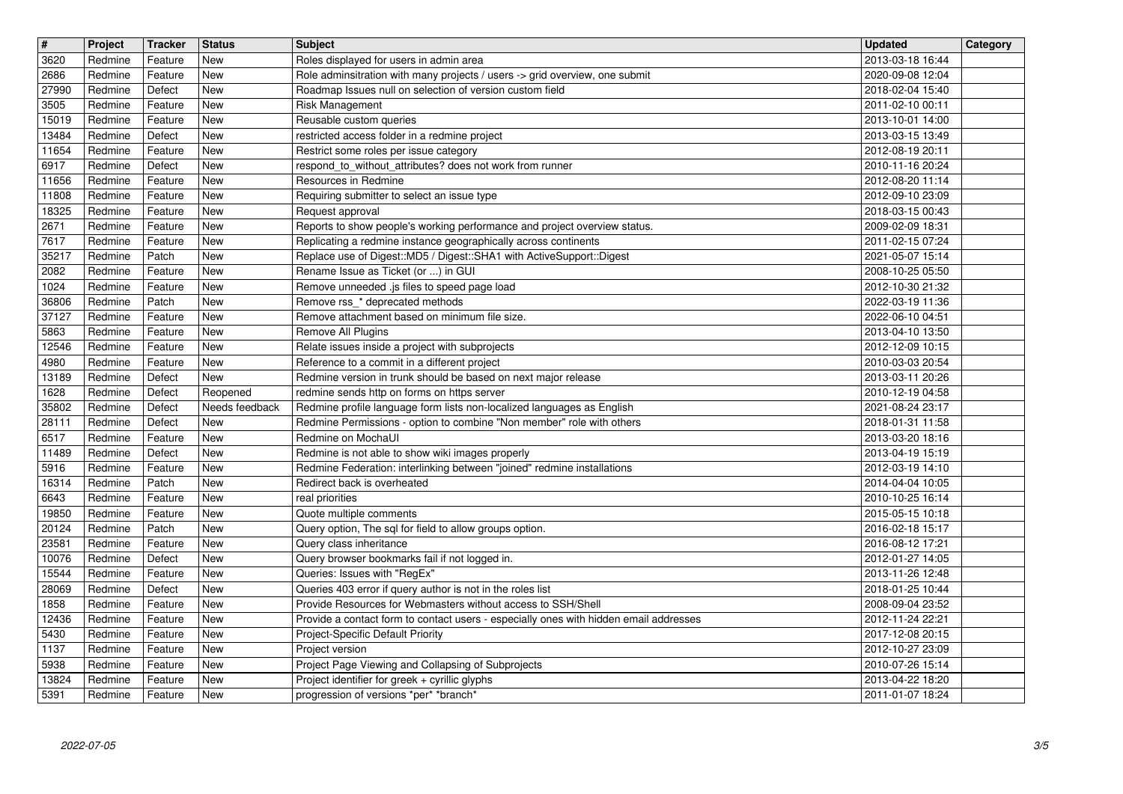| $\overline{\mathbf{H}}$ | Project            | Tracker            | <b>Status</b>  | <b>Subject</b>                                                                        | <b>Updated</b>                       | Category |
|-------------------------|--------------------|--------------------|----------------|---------------------------------------------------------------------------------------|--------------------------------------|----------|
| 3620                    | Redmine            | Feature            | New            | Roles displayed for users in admin area                                               | 2013-03-18 16:44                     |          |
| 2686                    | Redmine            | Feature            | New            | Role adminsitration with many projects / users -> grid overview, one submit           | 2020-09-08 12:04                     |          |
| 27990                   | Redmine            | Defect             | <b>New</b>     | Roadmap Issues null on selection of version custom field                              | 2018-02-04 15:40                     |          |
| 3505                    | Redmine            | Feature            | New            | <b>Risk Management</b>                                                                | 2011-02-10 00:11                     |          |
| 15019                   | Redmine            | Feature            | New            | Reusable custom queries                                                               | 2013-10-01 14:00                     |          |
| 13484                   | Redmine            | Defect             | <b>New</b>     | restricted access folder in a redmine project                                         | 2013-03-15 13:49                     |          |
| 11654                   | Redmine            | Feature            | New            | Restrict some roles per issue category                                                | 2012-08-19 20:11                     |          |
| 6917                    | Redmine            | Defect             | <b>New</b>     | respond_to_without_attributes? does not work from runner                              | 2010-11-16 20:24                     |          |
| 11656                   | Redmine            | Feature            | New            | Resources in Redmine                                                                  | 2012-08-20 11:14                     |          |
| 11808                   | Redmine            | Feature            | <b>New</b>     | Requiring submitter to select an issue type                                           | 2012-09-10 23:09                     |          |
| 18325                   | Redmine            | Feature            | <b>New</b>     | Request approval                                                                      | 2018-03-15 00:43                     |          |
| 2671                    | Redmine            | Feature            | New            | Reports to show people's working performance and project overview status.             | 2009-02-09 18:31                     |          |
| 7617                    | Redmine            | Feature            | New            | Replicating a redmine instance geographically across continents                       | 2011-02-15 07:24                     |          |
| 35217                   | Redmine            | Patch              | <b>New</b>     | Replace use of Digest::MD5 / Digest::SHA1 with ActiveSupport::Digest                  | 2021-05-07 15:14                     |          |
| 2082                    | Redmine            | Feature            | New            | Rename Issue as Ticket (or ) in GUI                                                   | 2008-10-25 05:50                     |          |
| 1024                    | Redmine            | Feature            | New            | Remove unneeded .js files to speed page load                                          | 2012-10-30 21:32                     |          |
| 36806                   | Redmine            | Patch              | New            | Remove rss_* deprecated methods<br>Remove attachment based on minimum file size.      | 2022-03-19 11:36                     |          |
| 37127<br>5863           | Redmine<br>Redmine | Feature<br>Feature | New<br>New     | Remove All Plugins                                                                    | 2022-06-10 04:51<br>2013-04-10 13:50 |          |
| 12546                   | Redmine            | Feature            | <b>New</b>     | Relate issues inside a project with subprojects                                       | 2012-12-09 10:15                     |          |
| 4980                    | Redmine            | Feature            | New            | Reference to a commit in a different project                                          | 2010-03-03 20:54                     |          |
| 13189                   | Redmine            | Defect             | New            | Redmine version in trunk should be based on next major release                        | 2013-03-11 20:26                     |          |
| 1628                    | Redmine            | Defect             | Reopened       | redmine sends http on forms on https server                                           | 2010-12-19 04:58                     |          |
| 35802                   | Redmine            | Defect             | Needs feedback | Redmine profile language form lists non-localized languages as English                | 2021-08-24 23:17                     |          |
| 28111                   | Redmine            | Defect             | New            | Redmine Permissions - option to combine "Non member" role with others                 | 2018-01-31 11:58                     |          |
| 6517                    | Redmine            | Feature            | New            | Redmine on MochaUI                                                                    | 2013-03-20 18:16                     |          |
| 11489                   | Redmine            | Defect             | <b>New</b>     | Redmine is not able to show wiki images properly                                      | 2013-04-19 15:19                     |          |
| 5916                    | Redmine            | Feature            | New            | Redmine Federation: interlinking between "joined" redmine installations               | 2012-03-19 14:10                     |          |
| 16314                   | Redmine            | Patch              | <b>New</b>     | Redirect back is overheated                                                           | 2014-04-04 10:05                     |          |
| 6643                    | Redmine            | Feature            | <b>New</b>     | real priorities                                                                       | 2010-10-25 16:14                     |          |
| 19850                   | Redmine            | Feature            | <b>New</b>     | Quote multiple comments                                                               | 2015-05-15 10:18                     |          |
| 20124                   | Redmine            | Patch              | <b>New</b>     | Query option, The sql for field to allow groups option.                               | 2016-02-18 15:17                     |          |
| 23581                   | Redmine            | Feature            | New            | Query class inheritance                                                               | 2016-08-12 17:21                     |          |
| 10076                   | Redmine            | Defect             | <b>New</b>     | Query browser bookmarks fail if not logged in.                                        | 2012-01-27 14:05                     |          |
| 15544                   | Redmine            | Feature            | <b>New</b>     | Queries: Issues with "RegEx"                                                          | 2013-11-26 12:48                     |          |
| 28069                   | Redmine            | Defect             | <b>New</b>     | Queries 403 error if query author is not in the roles list                            | 2018-01-25 10:44                     |          |
| 1858                    | Redmine            | Feature            | New            | Provide Resources for Webmasters without access to SSH/Shell                          | 2008-09-04 23:52                     |          |
| 12436                   | Redmine            | Feature            | New            | Provide a contact form to contact users - especially ones with hidden email addresses | 2012-11-24 22:21                     |          |
| 5430                    | Redmine            | Feature            | <b>New</b>     | <b>Project-Specific Default Priority</b>                                              | 2017-12-08 20:15                     |          |
| 1137                    | Redmine            | Feature            | New            | Project version                                                                       | 2012-10-27 23:09                     |          |
| 5938                    | Redmine            | Feature            | New            | Project Page Viewing and Collapsing of Subprojects                                    | 2010-07-26 15:14                     |          |
| 13824                   | Redmine            | Feature            | New            | Project identifier for greek + cyrillic glyphs                                        | 2013-04-22 18:20                     |          |
| 5391                    | Redmine            | Feature            | New            | progression of versions *per* *branch*                                                | 2011-01-07 18:24                     |          |
|                         |                    |                    |                |                                                                                       |                                      |          |
|                         |                    |                    |                |                                                                                       |                                      |          |
|                         |                    |                    |                |                                                                                       |                                      |          |
|                         |                    |                    |                |                                                                                       |                                      |          |
|                         |                    |                    |                |                                                                                       |                                      |          |
|                         |                    |                    |                |                                                                                       |                                      |          |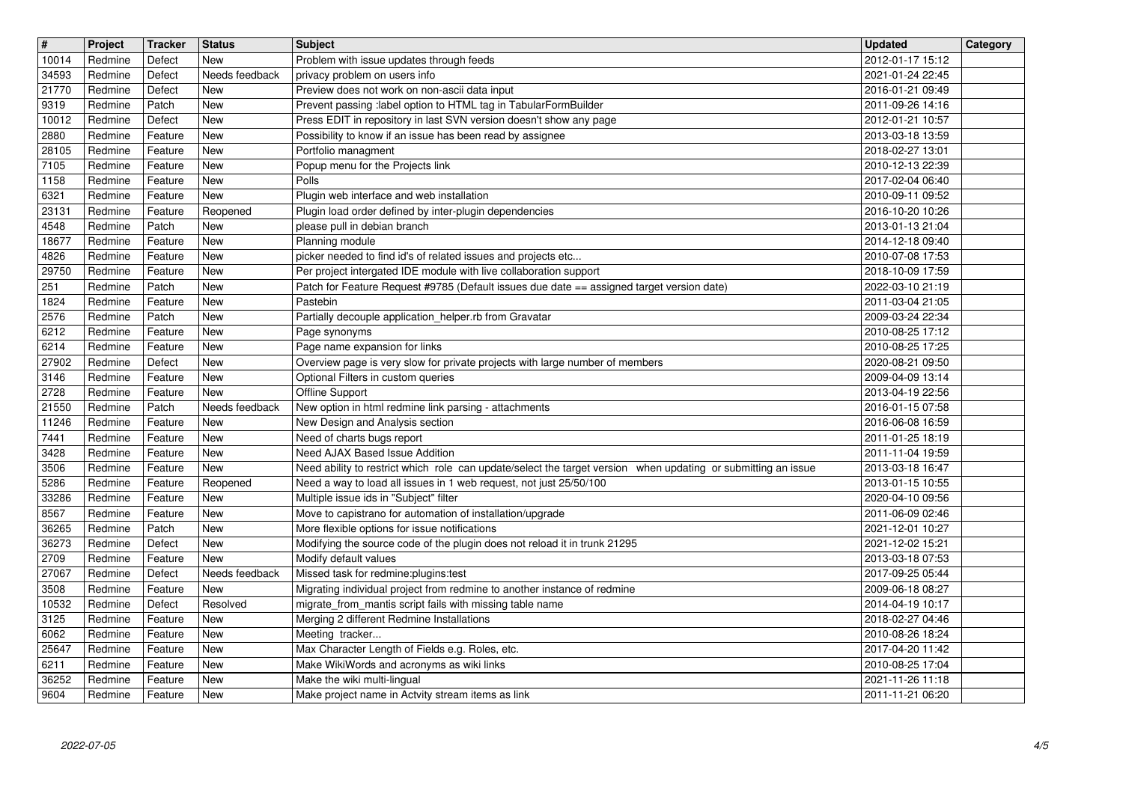| $\sqrt{t}$ | Project | Tracker | <b>Status</b>  | <b>Subject</b>                                                                                                | <b>Updated</b>   | Category |
|------------|---------|---------|----------------|---------------------------------------------------------------------------------------------------------------|------------------|----------|
| 10014      | Redmine | Defect  | New            | Problem with issue updates through feeds                                                                      | 2012-01-17 15:12 |          |
| 34593      | Redmine | Defect  | Needs feedback | privacy problem on users info                                                                                 | 2021-01-24 22:45 |          |
| 21770      | Redmine | Defect  | <b>New</b>     | Preview does not work on non-ascii data input                                                                 | 2016-01-21 09:49 |          |
| 9319       | Redmine | Patch   | New            | Prevent passing : label option to HTML tag in TabularFormBuilder                                              | 2011-09-26 14:16 |          |
| 10012      | Redmine | Defect  | <b>New</b>     | Press EDIT in repository in last SVN version doesn't show any page                                            | 2012-01-21 10:57 |          |
| 2880       | Redmine | Feature | New            | Possibility to know if an issue has been read by assignee                                                     | 2013-03-18 13:59 |          |
| 28105      | Redmine | Feature | New            | Portfolio managment                                                                                           | 2018-02-27 13:01 |          |
| 7105       | Redmine | Feature | New            | Popup menu for the Projects link                                                                              | 2010-12-13 22:39 |          |
| 1158       | Redmine | Feature | New            | Polls                                                                                                         | 2017-02-04 06:40 |          |
| 6321       | Redmine | Feature | New            | Plugin web interface and web installation                                                                     | 2010-09-11 09:52 |          |
| 23131      | Redmine | Feature | Reopened       | Plugin load order defined by inter-plugin dependencies                                                        | 2016-10-20 10:26 |          |
| 4548       | Redmine | Patch   | <b>New</b>     | please pull in debian branch                                                                                  | 2013-01-13 21:04 |          |
| 18677      | Redmine | Feature | <b>New</b>     | Planning module                                                                                               | 2014-12-18 09:40 |          |
| 4826       | Redmine | Feature | <b>New</b>     | picker needed to find id's of related issues and projects etc                                                 | 2010-07-08 17:53 |          |
| 29750      | Redmine | Feature | <b>New</b>     | Per project intergated IDE module with live collaboration support                                             | 2018-10-09 17:59 |          |
| 251        | Redmine | Patch   | <b>New</b>     | Patch for Feature Request #9785 (Default issues due date == assigned target version date)                     | 2022-03-10 21:19 |          |
| 1824       | Redmine | Feature | New            | Pastebin                                                                                                      | 2011-03-04 21:05 |          |
| 2576       | Redmine | Patch   | New            | Partially decouple application_helper.rb from Gravatar                                                        | 2009-03-24 22:34 |          |
| 6212       | Redmine | Feature | New            | Page synonyms                                                                                                 | 2010-08-25 17:12 |          |
| 6214       | Redmine | Feature | New            | Page name expansion for links                                                                                 | 2010-08-25 17:25 |          |
| 27902      | Redmine | Defect  | New            | Overview page is very slow for private projects with large number of members                                  | 2020-08-21 09:50 |          |
| 3146       | Redmine | Feature | <b>New</b>     | Optional Filters in custom queries                                                                            | 2009-04-09 13:14 |          |
| 2728       | Redmine | Feature | <b>New</b>     | Offline Support                                                                                               | 2013-04-19 22:56 |          |
| 21550      | Redmine | Patch   | Needs feedback | New option in html redmine link parsing - attachments                                                         | 2016-01-15 07:58 |          |
| 11246      | Redmine | Feature | New            | New Design and Analysis section                                                                               | 2016-06-08 16:59 |          |
| 7441       | Redmine | Feature | New            | Need of charts bugs report                                                                                    | 2011-01-25 18:19 |          |
| 3428       | Redmine | Feature | New            | Need AJAX Based Issue Addition                                                                                | 2011-11-04 19:59 |          |
| 3506       | Redmine | Feature | New            | Need ability to restrict which role can update/select the target version when updating or submitting an issue | 2013-03-18 16:47 |          |
| 5286       | Redmine | Feature | Reopened       | Need a way to load all issues in 1 web request, not just 25/50/100                                            | 2013-01-15 10:55 |          |
| 33286      | Redmine | Feature | <b>New</b>     | Multiple issue ids in "Subject" filter                                                                        | 2020-04-10 09:56 |          |
| 8567       | Redmine | Feature | <b>New</b>     | Move to capistrano for automation of installation/upgrade                                                     | 2011-06-09 02:46 |          |
| 36265      | Redmine | Patch   | <b>New</b>     | More flexible options for issue notifications                                                                 | 2021-12-01 10:27 |          |
| 36273      | Redmine | Defect  | <b>New</b>     | Modifying the source code of the plugin does not reload it in trunk 21295                                     | 2021-12-02 15:21 |          |
| 2709       | Redmine | Feature | New            | Modify default values                                                                                         | 2013-03-18 07:53 |          |
| 27067      | Redmine | Defect  | Needs feedback | Missed task for redmine: plugins: test                                                                        | 2017-09-25 05:44 |          |
| 3508       | Redmine | Feature | New            | Migrating individual project from redmine to another instance of redmine                                      | 2009-06-18 08:27 |          |
| 10532      | Redmine | Defect  | Resolved       | migrate from mantis script fails with missing table name                                                      | 2014-04-19 10:17 |          |
| 3125       | Redmine | Feature | New            | Merging 2 different Redmine Installations                                                                     | 2018-02-27 04:46 |          |
| 6062       | Redmine | Feature | New            | Meeting tracker                                                                                               | 2010-08-26 18:24 |          |
| 25647      | Redmine | Feature | New            | Max Character Length of Fields e.g. Roles, etc.                                                               | 2017-04-20 11:42 |          |
| 6211       | Redmine | Feature | New            | Make WikiWords and acronyms as wiki links                                                                     | 2010-08-25 17:04 |          |
| 36252      | Redmine | Feature | New            | Make the wiki multi-lingual                                                                                   | 2021-11-26 11:18 |          |
| 9604       | Redmine | Feature | New            | Make project name in Actvity stream items as link                                                             | 2011-11-21 06:20 |          |
|            |         |         |                |                                                                                                               |                  |          |
|            |         |         |                |                                                                                                               |                  |          |
|            |         |         |                |                                                                                                               |                  |          |
|            |         |         |                |                                                                                                               |                  |          |